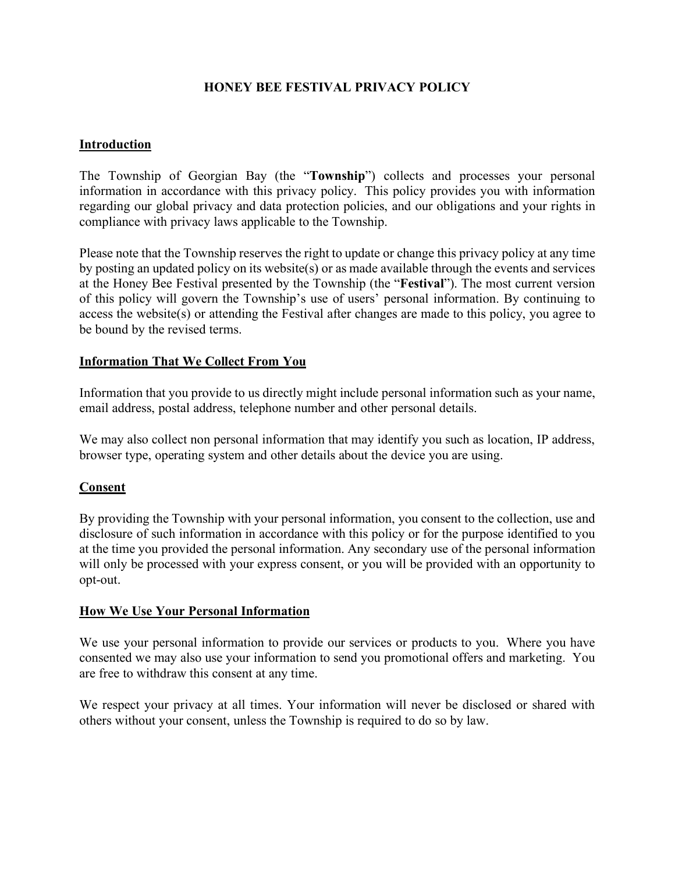# **HONEY BEE FESTIVAL PRIVACY POLICY**

## **Introduction**

The Township of Georgian Bay (the "**Township**") collects and processes your personal information in accordance with this privacy policy. This policy provides you with information regarding our global privacy and data protection policies, and our obligations and your rights in compliance with privacy laws applicable to the Township.

Please note that the Township reserves the right to update or change this privacy policy at any time by posting an updated policy on its website(s) or as made available through the events and services at the Honey Bee Festival presented by the Township (the "**Festival**"). The most current version of this policy will govern the Township's use of users' personal information. By continuing to access the website(s) or attending the Festival after changes are made to this policy, you agree to be bound by the revised terms.

## **Information That We Collect From You**

Information that you provide to us directly might include personal information such as your name, email address, postal address, telephone number and other personal details.

We may also collect non personal information that may identify you such as location, IP address, browser type, operating system and other details about the device you are using.

### **Consent**

By providing the Township with your personal information, you consent to the collection, use and disclosure of such information in accordance with this policy or for the purpose identified to you at the time you provided the personal information. Any secondary use of the personal information will only be processed with your express consent, or you will be provided with an opportunity to opt-out.

### **How We Use Your Personal Information**

We use your personal information to provide our services or products to you. Where you have consented we may also use your information to send you promotional offers and marketing. You are free to withdraw this consent at any time.

We respect your privacy at all times. Your information will never be disclosed or shared with others without your consent, unless the Township is required to do so by law.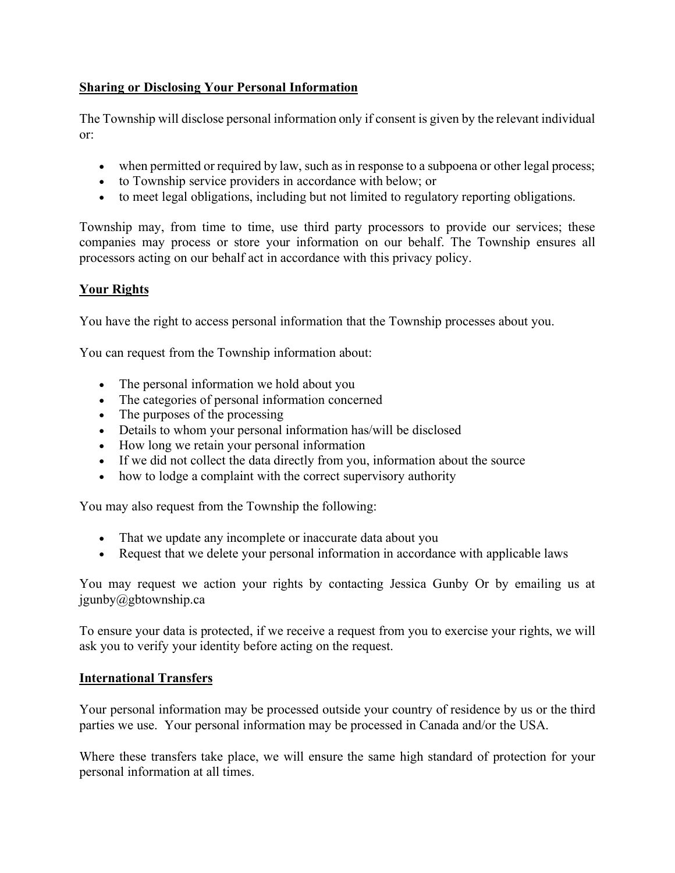# **Sharing or Disclosing Your Personal Information**

The Township will disclose personal information only if consent is given by the relevant individual or:

- when permitted or required by law, such as in response to a subpoena or other legal process;
- to Township service providers in accordance with below; or
- to meet legal obligations, including but not limited to regulatory reporting obligations.

Township may, from time to time, use third party processors to provide our services; these companies may process or store your information on our behalf. The Township ensures all processors acting on our behalf act in accordance with this privacy policy.

# **Your Rights**

You have the right to access personal information that the Township processes about you.

You can request from the Township information about:

- The personal information we hold about you
- The categories of personal information concerned
- The purposes of the processing
- Details to whom your personal information has/will be disclosed
- How long we retain your personal information
- If we did not collect the data directly from you, information about the source
- how to lodge a complaint with the correct supervisory authority

You may also request from the Township the following:

- That we update any incomplete or inaccurate data about you
- Request that we delete your personal information in accordance with applicable laws

You may request we action your rights by contacting Jessica Gunby Or by emailing us at jgunby@gbtownship.ca

To ensure your data is protected, if we receive a request from you to exercise your rights, we will ask you to verify your identity before acting on the request.

# **International Transfers**

Your personal information may be processed outside your country of residence by us or the third parties we use. Your personal information may be processed in Canada and/or the USA.

Where these transfers take place, we will ensure the same high standard of protection for your personal information at all times.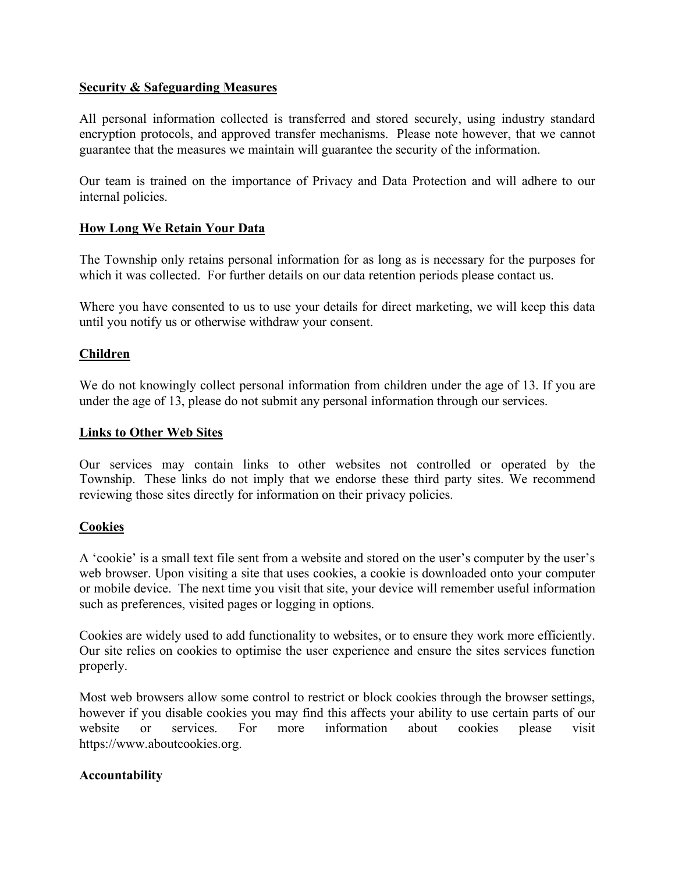## **Security & Safeguarding Measures**

All personal information collected is transferred and stored securely, using industry standard encryption protocols, and approved transfer mechanisms. Please note however, that we cannot guarantee that the measures we maintain will guarantee the security of the information.

Our team is trained on the importance of Privacy and Data Protection and will adhere to our internal policies.

## **How Long We Retain Your Data**

The Township only retains personal information for as long as is necessary for the purposes for which it was collected. For further details on our data retention periods please contact us.

Where you have consented to us to use your details for direct marketing, we will keep this data until you notify us or otherwise withdraw your consent.

## **Children**

We do not knowingly collect personal information from children under the age of 13. If you are under the age of 13, please do not submit any personal information through our services.

### **Links to Other Web Sites**

Our services may contain links to other websites not controlled or operated by the Township. These links do not imply that we endorse these third party sites. We recommend reviewing those sites directly for information on their privacy policies.

### **Cookies**

A 'cookie' is a small text file sent from a website and stored on the user's computer by the user's web browser. Upon visiting a site that uses cookies, a cookie is downloaded onto your computer or mobile device. The next time you visit that site, your device will remember useful information such as preferences, visited pages or logging in options.

Cookies are widely used to add functionality to websites, or to ensure they work more efficiently. Our site relies on cookies to optimise the user experience and ensure the sites services function properly.

Most web browsers allow some control to restrict or block cookies through the browser settings, however if you disable cookies you may find this affects your ability to use certain parts of our website or services. For more information about cookies please visit [https://www.aboutcookies.org.](https://www.aboutcookies.org/)

### **Accountability**